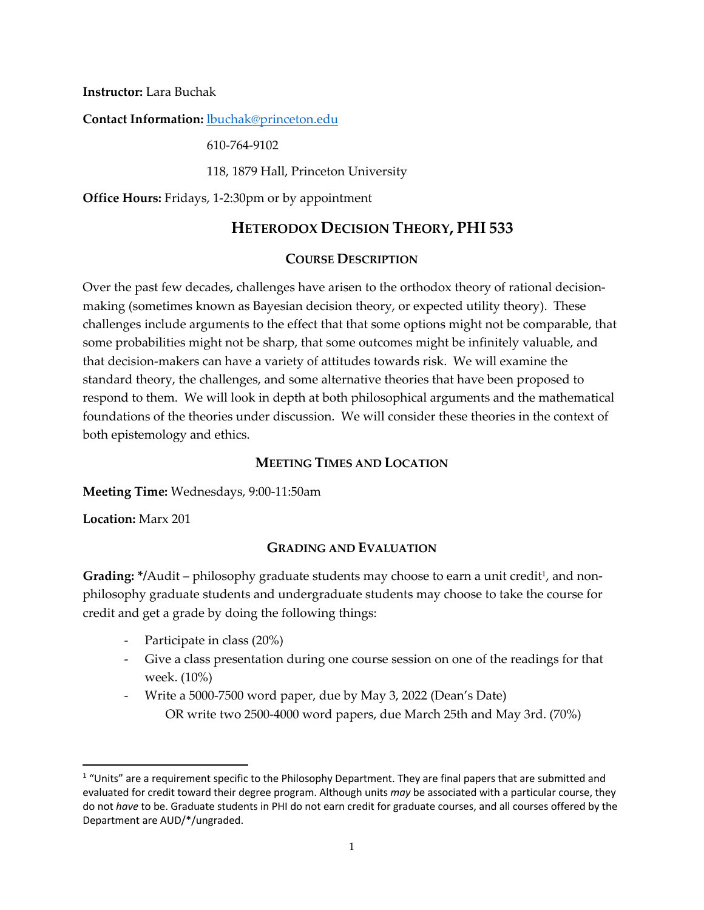**Instructor:** Lara Buchak

**Contact Information:** lbuchak@princeton.edu

610-764-9102

118, 1879 Hall, Princeton University

**Office Hours:** Fridays, 1-2:30pm or by appointment

# **HETERODOX DECISION THEORY, PHI 533**

### **COURSE DESCRIPTION**

Over the past few decades, challenges have arisen to the orthodox theory of rational decisionmaking (sometimes known as Bayesian decision theory, or expected utility theory). These challenges include arguments to the effect that that some options might not be comparable, that some probabilities might not be sharp, that some outcomes might be infinitely valuable, and that decision-makers can have a variety of attitudes towards risk. We will examine the standard theory, the challenges, and some alternative theories that have been proposed to respond to them. We will look in depth at both philosophical arguments and the mathematical foundations of the theories under discussion. We will consider these theories in the context of both epistemology and ethics.

### **MEETING TIMES AND LOCATION**

**Meeting Time:** Wednesdays, 9:00-11:50am

**Location:** Marx 201

### **GRADING AND EVALUATION**

**Grading:** \*/Audit – philosophy graduate students may choose to earn a unit credit<sup>1</sup>, and nonphilosophy graduate students and undergraduate students may choose to take the course for credit and get a grade by doing the following things:

- Participate in class (20%)
- Give a class presentation during one course session on one of the readings for that week. (10%)
- Write a 5000-7500 word paper, due by May 3, 2022 (Dean's Date) OR write two 2500-4000 word papers, due March 25th and May 3rd. (70%)

 $1$  "Units" are a requirement specific to the Philosophy Department. They are final papers that are submitted and evaluated for credit toward their degree program. Although units *may* be associated with a particular course, they do not *have* to be. Graduate students in PHI do not earn credit for graduate courses, and all courses offered by the Department are AUD/\*/ungraded.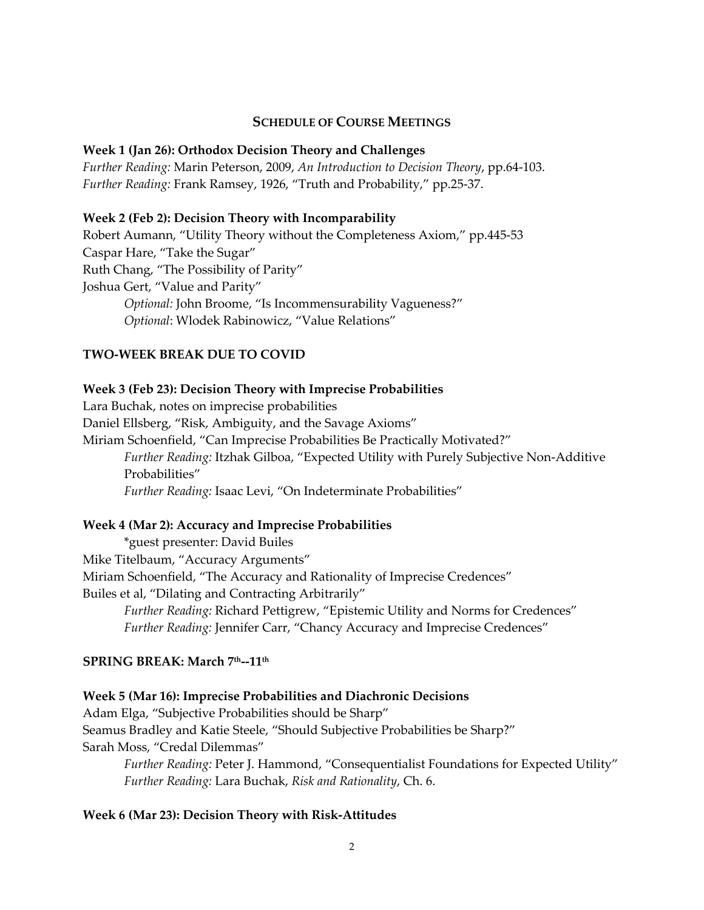### **SCHEDULE OF COURSE MEETINGS**

#### **Week 1 (Jan 26): Orthodox Decision Theory and Challenges**

*Further Reading:* Marin Peterson, 2009, *An Introduction to Decision Theory*, pp.64-103. *Further Reading:* Frank Ramsey, 1926, "Truth and Probability," pp.25-37.

#### **Week 2 (Feb 2): Decision Theory with Incomparability**

Robert Aumann, "Utility Theory without the Completeness Axiom," pp.445-53 Caspar Hare, "Take the Sugar" Ruth Chang, "The Possibility of Parity" Joshua Gert, "Value and Parity" *Optional:* John Broome, "Is Incommensurability Vagueness?" *Optional*: Wlodek Rabinowicz, "Value Relations"

### **TWO-WEEK BREAK DUE TO COVID**

#### **Week 3 (Feb 23): Decision Theory with Imprecise Probabilities**

Lara Buchak, notes on imprecise probabilities

Daniel Ellsberg, "Risk, Ambiguity, and the Savage Axioms"

Miriam Schoenfield, "Can Imprecise Probabilities Be Practically Motivated?" *Further Reading:* Itzhak Gilboa, "Expected Utility with Purely Subjective Non-Additive Probabilities" *Further Reading:* Isaac Levi, "On Indeterminate Probabilities"

#### **Week 4 (Mar 2): Accuracy and Imprecise Probabilities**

\*guest presenter: David Builes Mike Titelbaum, "Accuracy Arguments" Miriam Schoenfield, "The Accuracy and Rationality of Imprecise Credences" Builes et al, "Dilating and Contracting Arbitrarily"

*Further Reading:* Richard Pettigrew, "Epistemic Utility and Norms for Credences" *Further Reading:* Jennifer Carr, "Chancy Accuracy and Imprecise Credences"

#### **SPRING BREAK: March 7th--11th**

#### **Week 5 (Mar 16): Imprecise Probabilities and Diachronic Decisions**

Adam Elga, "Subjective Probabilities should be Sharp"

Seamus Bradley and Katie Steele, "Should Subjective Probabilities be Sharp?"

Sarah Moss, "Credal Dilemmas"

*Further Reading:* Peter J. Hammond, "Consequentialist Foundations for Expected Utility" *Further Reading:* Lara Buchak, *Risk and Rationality*, Ch. 6.

#### **Week 6 (Mar 23): Decision Theory with Risk-Attitudes**